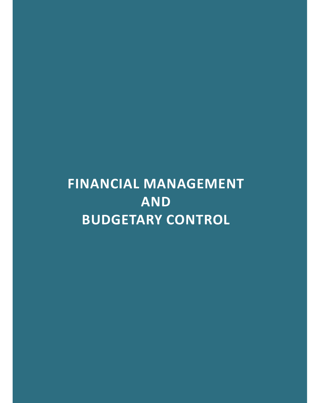# **FINANCIAL MANAGEMENT AND BUDGETARY CONTROL**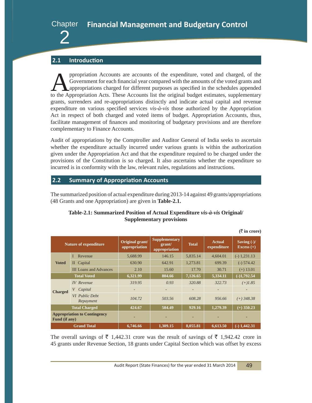

#### **2.1 Introduction**

propriation Accounts are accounts of the expenditure, voted and charged, of the Government for each financial year compared with the amounts of the voted grants and appropriations charged for different purposes as specifie Government for each financial year compared with the amounts of the voted grants and appropriations charged for different purposes as specified in the schedules appended to the Appropriation Acts. These Accounts list the original budget estimates, supplementary grants, surrenders and re-appropriations distinctly and indicate actual capital and revenue expenditure on various specified services *vis-à-vis* those authorized by the Appropriation Act in respect of both charged and voted items of budget. Appropriation Accounts, thus, facilitate management of finances and monitoring of budgetary provisions and are therefore complementary to Finance Accounts.

Audit of appropriations by the Comptroller and Auditor General of India seeks to ascertain whether the expenditure actually incurred under various grants is within the authorization given under the Appropriation Act and that the expenditure required to be charged under the provisions of the Constitution is so charged. It also ascertains whether the expenditure so incurred is in conformity with the law, relevant rules, regulations and instructions.

#### **2.2 Summary of Appropriation Accounts**

The summarized position of actual expenditure during 2013-14 against 49 grants/appropriations (48 Grants and one Appropriation) are given in **Table-2.1.**

|                    |                                     |                                  |                                                 |                          |                              | $(\bar{\bar{\mathbf{x}}}$ in crore) |
|--------------------|-------------------------------------|----------------------------------|-------------------------------------------------|--------------------------|------------------------------|-------------------------------------|
|                    | <b>Nature of expenditure</b>        | Original grant/<br>appropriation | <b>Supplementary</b><br>grant/<br>appropriation | <b>Total</b>             | <b>Actual</b><br>expenditure | Saving $(-)/$<br>$Excess (+)$       |
|                    | Revenue<br>I                        | 5,688.99                         | 146.15                                          | 5,835.14                 | 4,604.01                     | $(-) 1,231.13$                      |
| <b>Voted</b>       | II Capital                          | 630.90                           | 642.91                                          | 1,273.81                 | 699.39                       | $(-)$ 574.42                        |
|                    | <b>III Loans and Advances</b>       | 2.10                             | 15.60                                           | 17.70                    | 30.71                        | $(+)$ 13.01                         |
| <b>Total Voted</b> |                                     | 6,321.99                         | 804.66                                          | 7,126.65                 | 5,334.11                     | $(-)1,792.54$                       |
|                    | <b>IV</b> Revenue                   | 319.95                           | 0.93                                            | 320.88                   | 322.73                       | $(+)1.85$                           |
| <b>Charged</b>     | V Capital                           |                                  | $\overline{\phantom{a}}$                        | $\overline{\phantom{a}}$ | ٠                            |                                     |
|                    | <b>VI</b> Public Debt<br>Repayment  | 104.72                           | 503.56                                          | 608.28                   | 956.66                       | $(+)$ 348.38                        |
|                    | <b>Total Charged</b>                | 424.67                           | 504.49                                          | 929.16                   | 1,279.39                     | $(+)$ 350.23                        |
| Fund (if any)      | <b>Appropriation to Contingency</b> |                                  |                                                 |                          |                              |                                     |
|                    | <b>Grand Total</b>                  | 6,746.66                         | 1,309.15                                        | 8,055.81                 | 6,613.50                     | $\overline{(-)}$ 1,442.31           |

#### **Table-2.1: Summarized Position of Actual Expenditure** *vis-à-vis* **Original/ Supplementary provisions**

The overall savings of  $\bar{\tau}$  1,442.31 crore was the result of savings of  $\bar{\tau}$  1,942.42 crore in 45 grants under Revenue Section, 18 grants under Capital Section which was offset by excess

Audit Report (State Finances) for the year ended 31 March 2014 49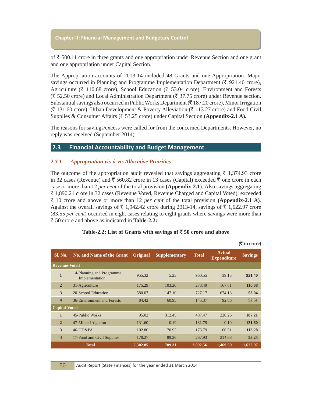of  $\bar{\xi}$  500.11 crore in three grants and one appropriation under Revenue Section and one grant and one appropriation under Capital Section.

The Appropriation accounts of 2013-14 included 48 Grants and one Appropriation. Major savings occurred in Planning and Programme Implementation Department ( $\bar{\xi}$  921.40 crore), Agriculture ( $\bar{\tau}$  110.68 crore), School Education ( $\bar{\tau}$  53.04 crore), Environment and Forests  $(\bar{\mathfrak{F}} 52.50 \text{ core})$  and Local Administration Department ( $\bar{\mathfrak{F}} 37.75 \text{ core}$ ) under Revenue section. Substantial savings also occurred in Public Works Department ( $\bar{\tau}$  187.20 crore), Minor Irrigation  $(\bar{\mathfrak{F}} 131.60$  crore), Urban Development & Poverty Alleviation ( $\bar{\mathfrak{F}} 113.27$  crore) and Food Civil Supplies & Consumer Affairs (` 53.25 crore) under Capital Section **(Appendix-2.1 A).**

The reasons for savings/excess were called for from the concerned Departments. However, no reply was received (September 2014).

#### **2.3 Financial Accountability and Budget Management**

#### *2.3.1 Appropriation vis-à-vis Allocative Priorities*

The outcome of the appropriation audit revealed that savings aggregating  $\bar{\tau}$  1,374.93 crore in 32 cases (Revenue) and  $\bar{\tau}$  560.82 crore in 13 cases (Capital) exceeded  $\bar{\tau}$  one crore in each case or more than 12 *per cent* of the total provision **(Appendix-2.1)**. Also savings aggregating ` 1,890.21 crore in 32 cases (Revenue Voted, Revenue Charged and Capital Voted), exceeded  $\bar{\xi}$  10 crore and above or more than 12 *per cent* of the total provision (Appendix-2.1 A). Against the overall savings of  $\bar{\tau}$  1,942.42 crore during 2013-14, savings of  $\bar{\tau}$  1,622.97 crore (83.55 *per cent*) occurred in eight cases relating to eight grants where savings were more than ` 50 crore and above as indicated in **Table-2.2:**

| Sl. No.                 | <b>No. and Name of the Grant</b>            | Original | <b>Supplementary</b> | <b>Total</b> | <b>Actual</b><br><b>Expenditure</b> | <b>Savings</b> |
|-------------------------|---------------------------------------------|----------|----------------------|--------------|-------------------------------------|----------------|
| <b>Revenue-Voted</b>    |                                             |          |                      |              |                                     |                |
| $\mathbf{1}$            | 14-Planning and Programme<br>Implementation | 955.32   | 5.23                 | 960.55       | 39.15                               | 921.40         |
| $\overline{2}$          | 31-Agriculture                              | 175.29   | 103.20               | 278.49       | 167.81                              | 110.68         |
| 3                       | 20-School Education                         | 580.07   | 147.10               | 727.17       | 674.13                              | 53.04          |
| $\overline{\mathbf{4}}$ | 36-Environment and Forests                  | 84.42    | 60.95                | 145.37       | 92.86                               | 52.51          |
| <b>Capital-Voted</b>    |                                             |          |                      |              |                                     |                |
| $\mathbf{1}$            | 45-Public Works                             | 95.02    | 312.45               | 407.47       | 220.26                              | 187.21         |
| $\overline{2}$          | 47-Minor Irrigation                         | 131.60   | 0.19                 | 131.79       | 0.19                                | 131.60         |
| 3                       | 46-UD&PA                                    | 102.86   | 70.93                | 173.79       | 60.51                               | 113.28         |
| $\overline{\mathbf{4}}$ | 17-Food and Civil Supplies                  | 178.27   | 89.26                | 267.93       | 214.68                              | 53.25          |
|                         | <b>Total</b>                                | 2,302.85 | 789.31               | 3,092.56     | 1,469.59                            | 1,622.97       |

#### Table-2.2: List of Grants with savings of  $\bar{z}$  50 crore and above

**(**` **in crore)**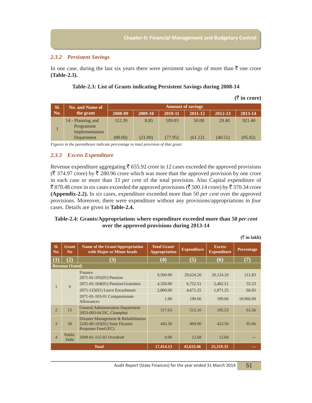#### *2.3.2 Persistent Savings*

In one case, during the last six years there were persistent savings of more than  $\bar{\tau}$  one crore **(Table-2.3).**

|     |                                                  |                          |         |         |         |         | --------- |  |
|-----|--------------------------------------------------|--------------------------|---------|---------|---------|---------|-----------|--|
| SI. | No. and Name of                                  | <b>Amount of savings</b> |         |         |         |         |           |  |
| No. | the grant                                        | 2008-09                  | 2009-10 | 2010-11 | 2011-12 | 2012-13 | 2013-14   |  |
|     | 14 - Planning and<br>Programme<br>Implementation | 112.39                   | 8.85    | 109.03  | 50.00   | 29.40   | 921.40    |  |
|     | Department                                       | (80.00)                  | (21.00) | (77.95) | (61.12) | (40.51) | (95.92)   |  |



*Figures in the parentheses indicate percentage to total provision of that grant*

#### *2.3.3 Excess Expenditure*

Revenue expenditure aggregating  $\bar{\tau}$  655.92 crore in 12 cases exceeded the approved provisions  $(\bar{\mathfrak{F}} 374.97$  crore) by  $\bar{\mathfrak{F}} 280.96$  crore which was more than the approved provision by one crore in each case or more than 33 *per cent* of the total provision. Also Capital expenditure of ₹870.48 crore in six cases exceeded the approved provisions (₹500.14 crore) by ₹370.34 crore **(Appendix-2.2).** In *six* cases, expenditure exceeded more than 50 *per cent* over the approved provisions. Moreover, there were expenditure without any provisions/appropriations in *four* cases. Details are given in **Table-2.4.**

#### **Table-2.4: Grants/Appropriations where expenditure exceeded more than 50** *per cent* **over the approved provisions during 2013-14**

| SI.<br>No.       | <b>Grant</b><br>N <sub>0</sub> | Name of the Grant/Appropriation<br>with Major or Minor heads                                 | <b>Total Grant/</b><br><b>Appropriation</b> | <b>Expenditure</b> | <b>Excess</b><br><b>Expenditure</b> | Percentage |
|------------------|--------------------------------|----------------------------------------------------------------------------------------------|---------------------------------------------|--------------------|-------------------------------------|------------|
| $\left(1\right)$ | (2)                            | (3)                                                                                          | $\boldsymbol{(4)}$                          | (5)                | (6)                                 | (7)        |
|                  | <b>Revenue (Voted)</b>         |                                                                                              |                                             |                    |                                     |            |
|                  |                                | Finance<br>2071-01-101(01) Pension                                                           | 9,500.00                                    | 29,624.20          | 20,124.20                           | 211.83     |
| 1                | 9                              | $2071 - 01 - 104(01)$ Pension/Gratuities                                                     | 4,350.00                                    | 6,752.51           | 2,402.51                            | 55.23      |
|                  |                                | $2071 - 115(01)$ Leave Encashment                                                            | 2,800.00                                    | 4,671.25           | 1,871.25                            | 66.83      |
|                  |                                | 2071-01-103-01 Compassionate<br><b>Allowances</b>                                            | 1.00                                        | 190.66             | 189.66                              | 18,966.00  |
| $\overline{2}$   | 15                             | <b>General Administration Department</b><br>2053-093-04 DC, Champhai                         | 317.63                                      | 513.16             | 195.53                              | 61.56      |
| 3                | 30                             | Disaster Management & Rehabilitation<br>2245-80-103(01) State Disaster<br>Response Fund (FC) | 445.50                                      | 869.00             | 423.50                              | 95.06      |
| $\overline{4}$   | Public<br>Debt                 | 2049-01-115-02 Overdraft                                                                     | 0.00                                        | 12.68              | 12.68                               |            |
|                  |                                | <b>Total</b>                                                                                 | 17,414.13                                   | 42,633.46          | 25,219.33                           |            |

 $(\bar{\bar{\zeta}}$  in lakh)

**(**` **in crore)**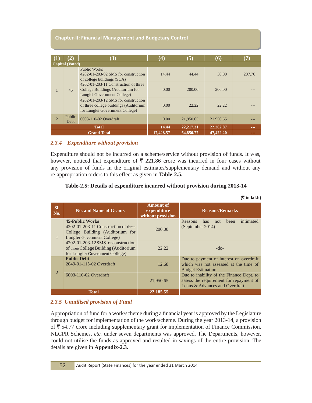|                    |                        | (3)                                                                                                              | $\bf(4)$       | (5)       | 66)       | (7)    |
|--------------------|------------------------|------------------------------------------------------------------------------------------------------------------|----------------|-----------|-----------|--------|
|                    | <b>Capital</b> (Voted) |                                                                                                                  |                |           |           |        |
|                    |                        | <b>Public Works</b><br>$4202-01-203-02$ SMS for construction<br>of college buildings (SCA)                       | 14.44          | 44.44     | 30.00     | 207.76 |
|                    | 45                     | 4202-01-203-11 Construction of three<br>College Buildings (Auditorium for<br>Lunglei Government College)         | 0.00           | 200.00    | 200.00    |        |
|                    |                        | 4202-01-203-12 SMS for construction<br>of three college buildings (Auditorium<br>for Lunglei Government College) | $0.00^{\circ}$ | 22.22     | 22.22     |        |
| $\overline{2}$     | Public<br><b>Debt</b>  | 6003-110-02 Overdraft                                                                                            | 0.00           | 21,950.65 | 21,950.65 |        |
|                    |                        | <b>Total</b>                                                                                                     | 14.44          | 22,217.31 | 22,202.87 | ---    |
| <b>Grand Total</b> |                        |                                                                                                                  | 17,428.57      | 64,850.77 | 47,422.20 | ---    |

#### *2.3.4 Expenditure without provision*

Expenditure should not be incurred on a scheme/service without provision of funds. It was, however, noticed that expenditure of  $\bar{\tau}$  221.86 crore was incurred in four cases without any provision of funds in the original estimates/supplementary demand and without any re-appropriation orders to this effect as given in **Table-2.5.**

#### **Table-2.5: Details of expenditure incurred without provision during 2013-14**

| SI.<br>No.     | <b>No. and Name of Grants</b>                                                                                                      | <b>Amount of</b><br>expenditure<br>without provision | <b>Reasons/Remarks</b>                                                                                                |  |  |
|----------------|------------------------------------------------------------------------------------------------------------------------------------|------------------------------------------------------|-----------------------------------------------------------------------------------------------------------------------|--|--|
|                | 45-Public Works<br>$4202 - 01 - 203 - 11$ Construction of three<br>College Building (Auditorium for<br>Lunglei Government College) | 200.00                                               | intimated<br>Reasons<br>has<br>been<br>not<br>(September 2014)                                                        |  |  |
|                | 4202-01-203-12 SMS for construction<br>of three College Building (Auditorium<br>for Lunglei Government College)                    | 22.22                                                | $-do-$                                                                                                                |  |  |
|                | <b>Public Debt</b><br>2049-01-115-02 Overdraft                                                                                     | 12.68                                                | Due to payment of interest on overdraft<br>which was not assessed at the time of<br><b>Budget Estimation</b>          |  |  |
| $\overline{2}$ | 6003-110-02 Overdraft                                                                                                              | 21,950.65                                            | Due to inability of the Finance Dept. to<br>assess the requirement for repayment of<br>Loans & Advances and Overdraft |  |  |
|                | <b>Total</b>                                                                                                                       | 22, 185, 55                                          |                                                                                                                       |  |  |

#### $(\bar{\bar{\zeta}}$  in lakh)

#### *2.3.5 Unutilised provision of Fund*

Appropriation of fund for a work/scheme during a financial year is approved by the Legislature through budget for implementation of the work/scheme. During the year 2013-14, a provision of  $\bar{\tau}$  54.77 crore including supplementary grant for implementation of Finance Commission, NLCPR Schemes, *etc.* under seven departments was approved. The Departments, however, could not utilise the funds as approved and resulted in savings of the entire provision. The details are given in **Appendix-2.3.**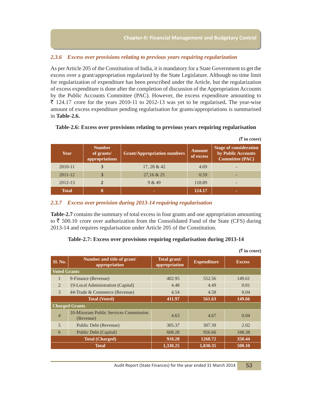#### *2.3.6 Excess over provisions relating to previous years requiring regularization*

As per Article 205 of the Constitution of India, it is mandatory for a State Government to get the excess over a grant/appropriation regularized by the State Legislature. Although no time limit for regularization of expenditure has been prescribed under the Article, but the regularization of excess expenditure is done after the completion of discussion of the Appropriation Accounts by the Public Accounts Committee (PAC). However, the excess expenditure amounting to ` 124.17 crore for the years 2010-11 to 2012-13 was yet to be regularised**.** The year-wise amount of excess expenditure pending regularisation for grants/appropriations is summarised in **Table-2.6.**

|              |                                               |                                    |                     | $(\overline{\zeta}$ in crore)                                                 |
|--------------|-----------------------------------------------|------------------------------------|---------------------|-------------------------------------------------------------------------------|
| Year         | <b>Number</b><br>of grants/<br>appropriations | <b>Grant/Appropriation numbers</b> | Amount<br>of excess | <b>Stage of consideration</b><br>by Public Accounts<br><b>Committee (PAC)</b> |
| 2010-11      | 3                                             | 17,28 & 42                         | 4.69                |                                                                               |
| $2011 - 12$  | 3                                             | 27,16 & 25                         | 0.59                |                                                                               |
| 2012-13      | $\overline{2}$                                | 9 & 49                             | 118.89              |                                                                               |
| <b>Total</b> | 8                                             |                                    | 124.17              |                                                                               |

#### *2.3.7 Excess over provision during 2013-14 requiring regularisation*

**Table-2.7** contains the summary of total excess in four grants and one appropriation amounting to  $\bar{\tau}$  500.10 crore over authorization from the Consolidated Fund of the State (CFS) during 2013-14 and requires regularisation under Article 205 of the Constitution.

#### **Table-2.7: Excess over provisions requiring regularisation during 2013-14**

|                     |                                                    |                               |          | $(\bar{\bar{\mathbf{x}}}$ in crore) |
|---------------------|----------------------------------------------------|-------------------------------|----------|-------------------------------------|
| <b>Sl. No.</b>      | Number and title of grant/<br>appropriation        | Total grant/<br>appropriation |          | <b>Excess</b>                       |
| <b>Voted Grants</b> |                                                    |                               |          |                                     |
| 1                   | 9-Finance (Revenue)                                | 402.95                        | 552.56   | 149.61                              |
| $\overline{2}$      | 19-Local Administration (Capital)                  | 4.48                          | 4.49     | 0.01                                |
| 3                   | 44-Trade & Commerce (Revenue)                      | 4.54                          | 4.58     | 0.04                                |
|                     | <b>Total (Voted)</b>                               | 411.97                        | 561.63   | 149.66                              |
|                     | <b>Charged Grants</b>                              |                               |          |                                     |
| $\overline{4}$      | 10-Mizoram Public Services Commission<br>(Revenue) | 4.63                          | 4.67     | 0.04                                |
| 5                   | Public Debt (Revenue)                              | 305.37                        | 307.39   | 2.02                                |
| 6                   | Public Debt (Capital)                              | 608.28                        | 956.66   | 348.38                              |
|                     | <b>Total (Charged)</b>                             | 918.28                        | 1268.72  | 350.44                              |
|                     | Total                                              | 1,330.25                      | 1,830.35 | 500.10                              |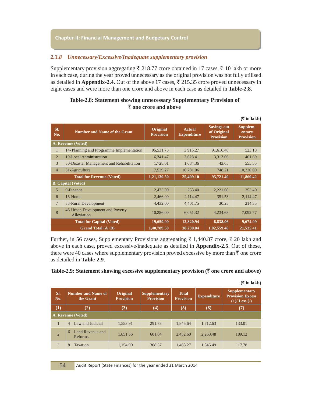#### *2.3.8 Unnecessary/Excessive/Inadequate supplementary provision*

Supplementary provision aggregating  $\bar{\xi}$  218.77 crore obtained in 17 cases,  $\bar{\xi}$  10 lakh or more in each case, during the year proved unnecessary as the original provision was not fully utilised as detailed in **Appendix-2.4.** Out of the above 17 cases,  $\bar{\xi}$  215.35 crore proved unnecessary in eight cases and were more than one crore and above in each case as detailed in **Table-2.8**.

#### **Table-2.8: Statement showing unnecessary Supplementary Provision of**  ` **one crore and above**

|                |                                                 |                                     |                                     |                                                       | $(\bar{z}$ in lakh)                    |
|----------------|-------------------------------------------------|-------------------------------------|-------------------------------------|-------------------------------------------------------|----------------------------------------|
| SI.<br>No.     | <b>Number and Name of the Grant</b>             | <b>Original</b><br><b>Provision</b> | <b>Actual</b><br><b>Expenditure</b> | <b>Savings out</b><br>of Original<br><b>Provision</b> | Supplem-<br>entary<br><b>Provision</b> |
|                | A. Revenue (Voted)                              |                                     |                                     |                                                       |                                        |
| $\mathbf{1}$   | 14- Planning and Programme Implementation       | 95,531.75                           | 3,915.27                            | 91,616.48                                             | 523.18                                 |
| $\overline{2}$ | 19-Local Administration                         | 6,341.47                            | 3,028.41                            | 3,313.06                                              | 461.69                                 |
| $\mathcal{R}$  | 30-Disaster Management and Rehabilitation       | 1,728.01                            | 1,684.36                            | 43.65                                                 | 555.55                                 |
| $\overline{4}$ | 31-Agriculture                                  | 17,529.27                           | 16,781.06                           | 748.21                                                | 10,320.00                              |
|                | <b>Total for Revenue (Voted)</b>                | 1,21,130.50                         | 25,409.10                           | 95,721.40                                             | 11,860.42                              |
|                | <b>B.</b> Capital (Voted)                       |                                     |                                     |                                                       |                                        |
| $\overline{5}$ | 9-Finance                                       | 2,475.00                            | 253.40                              | 2,221.60                                              | 253.40                                 |
| 6              | 16-Home                                         | 2,466.00                            | 2,114.47                            | 351.53                                                | 2,114.47                               |
| $\tau$         | 38-Rural Development                            | 4,432.00                            | 4,401.75                            | 30.25                                                 | 214.35                                 |
| 8              | 46-Urban Development and Poverty<br>Alleviation | 10,286.00                           | 6,051.32                            | 4,234.68                                              | 7,092.77                               |
|                | <b>Total for Capital (Voted)</b>                | 19,659.00                           | 12,820.94                           | 6,838.06                                              | 9,674.99                               |
|                | Grand Total $(A+B)$                             | 1,40,789.50                         | 38,230.04                           | 1,02,559.46                                           | 21,535.41                              |

Further, in 56 cases, Supplementary Provisions aggregating  $\bar{\xi}$  1,440.87 crore,  $\bar{\xi}$  20 lakh and above in each case, proved excessive/inadequate as detailed in **Appendix-2.5**. Out of these, there were 40 cases where supplementary provision proved excessive by more than  $\bar{\tau}$  one crore as detailed in **Table-2.9**.

#### **Table-2.9: Statement showing excessive supplementary provision (** $\bar{\tau}$  **one crore and above)**

|                |                                        |                              |                                          |                                  |                         | (5 IN RIKA)                                                          |  |  |
|----------------|----------------------------------------|------------------------------|------------------------------------------|----------------------------------|-------------------------|----------------------------------------------------------------------|--|--|
| SI.<br>No.     | <b>Number and Name of</b><br>the Grant | Original<br><b>Provision</b> | <b>Supplementary</b><br><b>Provision</b> | <b>Total</b><br><b>Provision</b> | <b>Expenditure</b>      | <b>Supplementary</b><br><b>Provision Excess</b><br>$(+)/$ Less $(-)$ |  |  |
| $\rm(1)$       | $\bf(2)$                               | (3)                          | $\left(4\right)$                         | (5)                              | $\boldsymbol{\epsilon}$ | (7)                                                                  |  |  |
|                | A. Revenue (Voted)                     |                              |                                          |                                  |                         |                                                                      |  |  |
|                | Law and Judicial<br>4                  | 1,553.91                     | 291.73                                   | 1,845.64                         | 1,712.63                | 133.01                                                               |  |  |
| $\overline{2}$ | Land Revenue and<br>6<br>Reforms       | 1,851.56                     | 601.04                                   | 2,452.60                         | 2,263.48                | 189.12                                                               |  |  |
| 3              | 8<br>Taxation                          | 1,154.90                     | 308.37                                   | 1.463.27                         | 1,345.49                | 117.78                                                               |  |  |

 $(\bar{r}$  in lakh)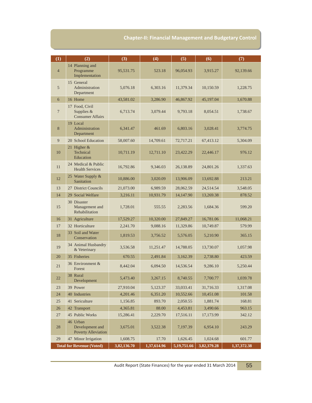| (1)            | (2)                                                       | (3)         | (4)         | (5)         | (6)         | (7)         |
|----------------|-----------------------------------------------------------|-------------|-------------|-------------|-------------|-------------|
| $\overline{4}$ | 14 Planning and<br>Programme<br>Implementation            | 95,531.75   | 523.18      | 96,054.93   | 3,915.27    | 92,139.66   |
| 5              | 15 General<br>Administration<br>Department                | 5,076.18    | 6,303.16    | 11,379.34   | 10,150.59   | 1,228.75    |
| 6              | 16 Home                                                   | 43,581.02   | 3,286.90    | 46,867.92   | 45,197.04   | 1,670.88    |
| $\overline{7}$ | 17 Food, Civil<br>Supplies $&$<br><b>Consumer Affairs</b> | 6,713.74    | 3,079.44    | 9,793.18    | 8,054.51    | 1,738.67    |
| 8              | 19 Local<br>Administration<br>Department                  | 6,341.47    | 461.69      | 6,803.16    | 3,028.41    | 3,774.75    |
| 9              | 20 School Education                                       | 58,007.60   | 14,709.61   | 72,717.21   | 67,413.12   | 5,304.09    |
| 10             | 21 Higher $&$<br>Technical<br>Education                   | 10,711.19   | 12,711.10   | 23,422.29   | 22,446.17   | 976.12      |
| 11             | 24 Medical & Public<br><b>Health Services</b>             | 16,792.86   | 9,346.03    | 26,138.89   | 24,801.26   | 1,337.63    |
| 12             | 25 Water Supply &<br>Sanitation                           | 10,886.00   | 3,020.09    | 13,906.09   | 13,692.88   | 213.21      |
| 13             | 27 District Councils                                      | 21,073.00   | 6,989.59    | 28,062.59   | 24,514.54   | 3,548.05    |
| 14             | 29 Social Welfare                                         | 3,216.11    | 10,931.79   | 14,147.90   | 13,269.38   | 878.52      |
| 15             | 30 Disaster<br>Management and<br>Rehabilitation           | 1,728.01    | 555.55      | 2,283.56    | 1,684.36    | 599.20      |
| 16             | 31 Agriculture                                            | 17,529.27   | 10,320.00   | 27,849.27   | 16,781.06   | 11,068.21   |
| 17             | 32 Horticulture                                           | 2,241.70    | 9,088.16    | 11,329.86   | 10,749.87   | 579.99      |
| 18             | 33 Soil and Water<br>Conservation                         | 1,819.53    | 3,756.52    | 5,576.05    | 5,210.90    | 365.15      |
| 19             | 34 Animal Husbandry<br>& Veterinary                       | 3,536.58    | 11,251.47   | 14,788.05   | 13,730.07   | 1,057.98    |
| 20             | 35 Fisheries                                              | 670.55      | 2,491.84    | 3,162.39    | 2,738.80    | 423.59      |
| 21             | 36 Environment &<br>Forest                                | 8,442.04    | 6,094.50    | 14,536.54   | 9,286.10    | 5,250.44    |
| 22             | 38 Rural<br>Development                                   | 5,473.40    | 3,267.15    | 8,740.55    | 7,700.77    | 1,039.78    |
| 23             | 39 Power                                                  | 27,910.04   | 5,123.37    | 33,033.41   | 31,716.33   | 1,317.08    |
| 24             | 40 Industries                                             | 4,201.46    | 6,351.20    | 10,552.66   | 10,451.08   | 101.58      |
| 25             | 41 Sericulture                                            | 1,156.85    | 893.70      | 2,050.55    | 1,881.74    | 168.81      |
| 26             | 42 Transport                                              | 4,365.81    | 88.00       | 4,453.81    | 3,490.66    | 963.15      |
| 27             | 45 Public Works                                           | 15,286.41   | 2,229.70    | 17,516.11   | 17,173.99   | 342.12      |
| 28             | 46 Urban<br>Development and<br><b>Poverty Alleviation</b> | 3,675.01    | 3,522.38    | 7,197.39    | 6,954.10    | 243.29      |
| 29             | 47 Minor Irrigation                                       | 1,608.75    | 17.70       | 1,626.45    | 1,024.68    | 601.77      |
|                | <b>Total for Revenue (Voted)</b>                          | 3,82,136.70 | 1,37,614.96 | 5,19,751.66 | 3,82,379.28 | 1,37,372.38 |

Audit Report (State Finances) for the year ended 31 March 2014 55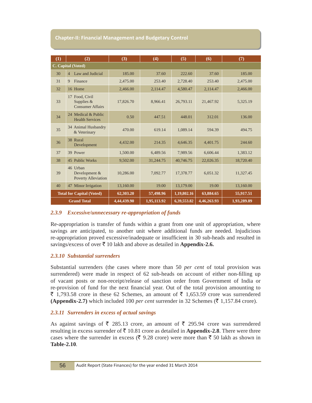| (1) | (2)                                                       | (3)         | (4)         | (5)         | (6)         | (7)         |
|-----|-----------------------------------------------------------|-------------|-------------|-------------|-------------|-------------|
|     | C. Capital (Voted)                                        |             |             |             |             |             |
| 30  | Law and Judicial<br>$\overline{4}$                        | 185.00      | 37.60       | 222.60      | 37.60       | 185.00      |
| 31  | Finance<br>9                                              | 2,475.00    | 253.40      | 2,728.40    | 253.40      | 2,475.00    |
| 32  | 16 Home                                                   | 2,466.00    | 2,114.47    | 4,580.47    | 2,114.47    | 2,466.00    |
| 33  | 17 Food, Civil<br>Supplies $&$<br><b>Consumer Affairs</b> | 17,826.70   | 8,966.41    | 26,793.11   | 21,467.92   | 5,325.19    |
| 34  | 24 Medical & Public<br><b>Health Services</b>             | 0.50        | 447.51      | 448.01      | 312.01      | 136.00      |
| 35  | 34 Animal Husbandry<br>& Veterinary                       | 470.00      | 619.14      | 1,089.14    | 594.39      | 494.75      |
| 36  | 38 Rural<br>Development                                   | 4,432.00    | 214.35      | 4,646.35    | 4,401.75    | 244.60      |
| 37  | 39 Power                                                  | 1,500.00    | 6,489.56    | 7,989.56    | 6.606.44    | 1,383.12    |
| 38  | 45 Public Works                                           | 9,502.00    | 31,244.75   | 40,746.75   | 22,026.35   | 18,720.40   |
| 39  | 46 Urban<br>Development &<br><b>Poverty Alleviation</b>   | 10,286.00   | 7,092.77    | 17,378.77   | 6.051.32    | 11,327.45   |
| 40  | 47 Minor Irrigation                                       | 13,160.00   | 19.00       | 13,179.00   | 19.00       | 13,160.00   |
|     | <b>Total for Capital (Voted)</b>                          | 62,303.20   | 57,498.96   | 1,19,802.16 | 63,884.65   | 55,917.51   |
|     | <b>Grand Total</b>                                        | 4,44,439.90 | 1,95,113.92 | 6,39,553.82 | 4,46,263.93 | 1,93,289.89 |

#### *2.3.9 Excessive/unnecessary re-appropriation of funds*

Re-appropriation is transfer of funds within a grant from one unit of appropriation, where savings are anticipated, to another unit where additional funds are needed. Injudicious re-appropriation proved excessive/inadequate or insufficient in 30 sub-heads and resulted in savings/excess of over  $\bar{\tau}$  10 lakh and above as detailed in **Appendix-2.6.** 

#### *2.3.10 Substantial surrenders*

Substantial surrenders (the cases where more than 50 *per cent* of total provision was surrendered) were made in respect of 62 sub-heads on account of either non-filling up of vacant posts or non-receipt/release of sanction order from Government of India or re-provision of fund for the next financial year. Out of the total provision amounting to  $\bar{\xi}$  1,793.58 crore in these 62 Schemes, an amount of  $\bar{\xi}$  1,653.59 crore was surrendered **(Appendix-2.7)** which included 100 *per cent* surrender in 32 Schemes ( $\bar{\tau}$  1,157.84 crore).

#### *2.3.11 Surrenders in excess of actual savings*

As against savings of  $\overline{\xi}$  285.13 crore, an amount of  $\overline{\xi}$  295.94 crore was surrendered resulting in excess surrender of  $\bar{\tau}$  10.81 crore as detailed in **Appendix-2.8**. There were three cases where the surrender in excess ( $\bar{\xi}$  9.28 crore) were more than  $\bar{\xi}$  50 lakh as shown in **Table-2.10***.*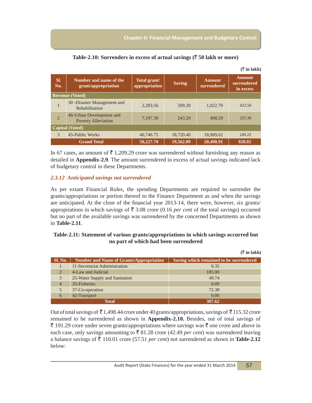$(\bar{z}$  in lakh)

 $(\bar{z}$  in lakh)

| SI.<br>No.             | Number and name of the<br>grant/appropriation          | Total grant/<br>appropriation | <b>Saving</b> | <b>Amount</b><br>surrendered | <b>Amount</b><br>surrendered<br>in excess |  |
|------------------------|--------------------------------------------------------|-------------------------------|---------------|------------------------------|-------------------------------------------|--|
|                        | <b>Revenue (Voted)</b>                                 |                               |               |                              |                                           |  |
| 1                      | 30 - Disaster Management and<br>Rehabilitation         | 2,283.56                      | 599.20        | 1,022.70                     | 423.50                                    |  |
| $\overline{2}$         | 46-Urban Development and<br><b>Poverty Alleviation</b> | 7,197.39                      | 243.29        | 498.59                       | 255.30                                    |  |
| <b>Capital (Voted)</b> |                                                        |                               |               |                              |                                           |  |
| $\mathcal{R}$          | 45-Public Works                                        | 40,746.75                     | 18,720.40     | 18,969.62                    | 249.22                                    |  |
|                        | <b>Grand Total</b>                                     | 50,227.70                     | 19,562.89     | 20,490.91                    | 928.02                                    |  |

In 67 cases, an amount of  $\bar{\tau}$  1,209.29 crore was surrendered without furnishing any reason as detailed in **Appendix-2.9**. The amount surrendered in excess of actual savings indicated lack of budgetary control in these Departments.

#### *2.3.12 Anticipated savings not surrendered*

As per extant Financial Rules, the spending Departments are required to surrender the grants/appropriations or portion thereof to the Finance Department as and when the savings are anticipated. At the close of the financial year 2013-14, there were, however, six grants/ appropriations in which savings of  $\overline{\xi}$  3.08 crore (0.16 *per cent* of the total savings) occurred but no part of the available savings was surrendered by the concerned Departments as shown in **Table-2.11**.

#### **Table-2.11: Statement of various grants/appropriations in which savings occurred but no part of which had been surrendered**

|                |                                                | $( \sqrt{\mu} \tan \mu)$                |
|----------------|------------------------------------------------|-----------------------------------------|
| <b>Sl. No.</b> | <b>Number and Name of Grants/Appropriation</b> | Saving which remained to be surrendered |
|                | 11-Secretariat Administration                  | 0.35                                    |
| 2              | 4-Law and Judicial                             | 185.00                                  |
| $\mathfrak{Z}$ | 25-Water Supply and Sanitation                 | 49.74                                   |
| $\overline{4}$ | 35-Fisheries                                   | 0.09                                    |
|                | 37-Co-operation                                | 72.38                                   |
| 6              | 42-Transport                                   | 0.06                                    |
|                | Total                                          | 307.62                                  |

Out of total savings of  $\bar{\tau}$  1,498.44 crore under 40 grants/appropriations, savings of  $\bar{\tau}$  115.32 crore remained to be surrendered as shown in **Appendix-2.10.** Besides, out of total savings of  $\bar{\tau}$  191.29 crore under seven grants/appropriations where savings was  $\bar{\tau}$  one crore and above in each case, only savings amounting to  $\bar{\tau}$  81.28 crore (42.49 *per cent*) was surrendered leaving a balance savings of  $\bar{\tau}$  110.01 crore (57.51 *per cent*) not surrendered as shown in **Table-2.12** below: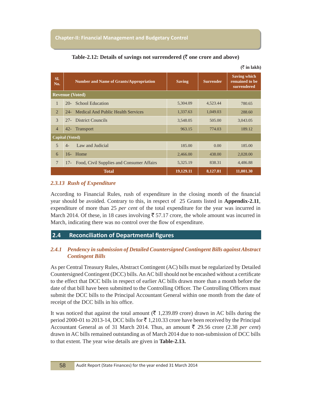| SI.<br>No.             | <b>Number and Name of Grants/Appropriation</b> |                                           | <b>Saving</b> | <b>Surrender</b> | <b>Saving which</b><br>remained to be<br>surrendered |  |  |
|------------------------|------------------------------------------------|-------------------------------------------|---------------|------------------|------------------------------------------------------|--|--|
|                        | <b>Revenue</b> (Voted)                         |                                           |               |                  |                                                      |  |  |
| $\mathbf{1}$           | $20-$                                          | <b>School Education</b>                   | 5,304.09      | 4,523.44         | 780.65                                               |  |  |
| $\overline{2}$         | $24-$                                          | Medical And Public Health Services        | 1,337.63      | 1,049.03         | 288.60                                               |  |  |
| $\mathcal{F}$          | $27 -$                                         | <b>District Councils</b>                  | 3,548.05      | 505.00           | 3,043.05                                             |  |  |
| $\overline{4}$         | $42 -$                                         | <b>Transport</b>                          | 963.15        | 774.03           | 189.12                                               |  |  |
| <b>Capital</b> (Voted) |                                                |                                           |               |                  |                                                      |  |  |
| 5                      | $4-$                                           | Law and Judicial                          | 185.00        | 0.00             | 185.00                                               |  |  |
| 6                      | $16-$                                          | Home                                      | 2,466.00      | 438.00           | 2,028.00                                             |  |  |
| 7                      | $17-$                                          | Food, Civil Supplies and Consumer Affairs | 5,325.19      | 838.31           | 4,486.88                                             |  |  |
|                        |                                                | <b>Total</b>                              | 19,129.11     | 8,127.81         | 11,001.30                                            |  |  |

|  | Table-2.12: Details of savings not surrendered ( $\bar{\tau}$ one crore and above) |  |
|--|------------------------------------------------------------------------------------|--|
|  |                                                                                    |  |

 $(\bar{\bar{\zeta}}$  in lakh)

#### *2.3.13 Rush of Expenditure*

According to Financial Rules, rush of expenditure in the closing month of the financial year should be avoided. Contrary to this, in respect of 25 Grants listed in **Appendix-2.11**, expenditure of more than 25 *per cent* of the total expenditure for the year was incurred in March 2014. Of these, in 18 cases involving  $\bar{\xi}$  57.17 crore, the whole amount was incurred in March, indicating there was no control over the flow of expenditure.

### **2.4 Reconciliation of Departmental figures**

#### *2.4.1 Pendency in submission of Detailed Countersigned Contingent Bills against Abstract Contingent Bills*

As per Central Treasury Rules, Abstract Contingent (AC) bills must be regularized by Detailed Countersigned Contingent (DCC) bills. An AC bill should not be encashed without a certificate to the effect that DCC bills in respect of earlier AC bills drawn more than a month before the date of that bill have been submitted to the Controlling Officer. The Controlling Officers must submit the DCC bills to the Principal Accountant General within one month from the date of receipt of the DCC bills in his office.

It was noticed that against the total amount ( $\bar{\tau}$  1,239.89 crore) drawn in AC bills during the period 2000-01 to 2013-14, DCC bills for  $\bar{\tau}$  1,210.33 crore have been received by the Principal Accountant General as of 31 March 2014. Thus, an amount  $\bar{\tau}$  29.56 crore (2.38 *per cent*) drawn in AC bills remained outstanding as of March 2014 due to non-submission of DCC bills to that extent. The year wise details are given in **Table-2.13.**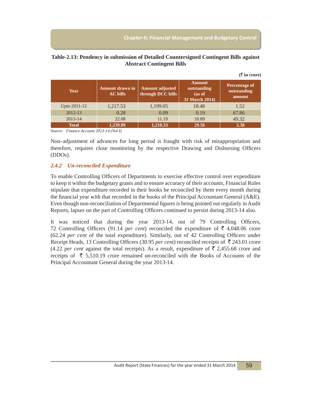$(\bar{\bar{\zeta}})$  in crore)

#### **Table-2.13: Pendency in submission of Detailed Countersigned Contingent Bills against Abstract Contingent Bills**

| <b>Year</b>  | <b>Amount drawn in</b><br><b>AC</b> bills | <b>Amount adjusted</b><br>through DCC bills | <b>Amount</b><br>outstanding<br>(as of<br>31 March 2014) | Percentage of<br>outstanding<br>amount |
|--------------|-------------------------------------------|---------------------------------------------|----------------------------------------------------------|----------------------------------------|
| Upto 2011-12 | 1,217.53                                  | 1,199.05                                    | 18.48                                                    | 1.52                                   |
| 2012-13      | 0.28                                      | 0.09                                        | 0.19                                                     | 67.86                                  |
| $2013 - 14$  | 22.08                                     | 11.19                                       | 10.89                                                    | 49.32                                  |
| <b>Total</b> | 1,239.89                                  | 1,210.33                                    | 29.56                                                    | 2.38                                   |

*Source: Finance Account 2013-14 (Vol-I)*

Non–adjustment of advances for long period is fraught with risk of misappropriation and therefore, requires close monitoring by the respective Drawing and Disbursing Officers (DDOs).

#### *2.4.2 Un-reconciled Expenditure*

To enable Controlling Officers of Departments to exercise effective control over expenditure to keep it within the budgetary grants and to ensure accuracy of their accounts, Financial Rules stipulate that expenditure recorded in their books be reconciled by them every month during the financial year with that recorded in the books of the Principal Accountant General (A&E). Even though non-reconciliation of Departmental figures is being pointed out regularly in Audit Reports, lapses on the part of Controlling Officers continued to persist during 2013-14 also.

It was noticed that during the year 2013-14, out of 79 Controlling Officers, 72 Controlling Officers (91.14 per cent) reconciled the expenditure of  $\bar{\tau}$  4,048.06 crore (62.24 *per cent* of the total expenditure). Similarly, out of 42 Controlling Officers under Receipt Heads, 13 Controlling Officers (30.95 *per cent)* reconciled receipts of ₹243.01 crore (4.22 *per cent* against the total receipts). As a result, expenditure of  $\bar{\tau}$  2,455.68 crore and receipts of  $\bar{\xi}$  5,510.19 crore remained un-reconciled with the Books of Accounts of the Principal Accountant General during the year 2013-14.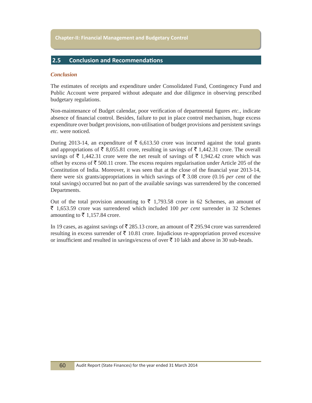#### **2.5 Conclusion and Recommendations**

#### *Conclusion*

The estimates of receipts and expenditure under Consolidated Fund, Contingency Fund and Public Account were prepared without adequate and due diligence in observing prescribed budgetary regulations.

Non-maintenance of Budget calendar, poor verification of departmental figures *etc.*, indicate absence of financial control. Besides, failure to put in place control mechanism, huge excess expenditure over budget provisions, non-utilisation of budget provisions and persistent savings *etc.* were noticed.

During 2013-14, an expenditure of  $\bar{\tau}$  6,613.50 crore was incurred against the total grants and appropriations of  $\bar{\xi}$  8,055.81 crore, resulting in savings of  $\bar{\xi}$  1,442.31 crore. The overall savings of  $\bar{\tau}$  1,442.31 crore were the net result of savings of  $\bar{\tau}$  1,942.42 crore which was offset by excess of  $\bar{\xi}$  500.11 crore. The excess requires regularisation under Article 205 of the Constitution of India. Moreover, it was seen that at the close of the financial year 2013-14, there were six grants/appropriations in which savings of  $\bar{\tau}$  3.08 crore (0.16 *per cent* of the total savings) occurred but no part of the available savings was surrendered by the concerned Departments.

Out of the total provision amounting to  $\bar{\tau}$  1,793.58 crore in 62 Schemes, an amount of ` 1,653.59 crore was surrendered which included 100 *per cent* surrender in 32 Schemes amounting to  $\bar{\tau}$  1,157.84 crore.

In 19 cases, as against savings of  $\bar{\mathfrak{g}}$  285.13 crore, an amount of  $\bar{\mathfrak{g}}$  295.94 crore was surrendered resulting in excess surrender of  $\bar{\tau}$  10.81 crore. Injudicious re-appropriation proved excessive or insufficient and resulted in savings/excess of over  $\bar{\tau}$  10 lakh and above in 30 sub-heads.